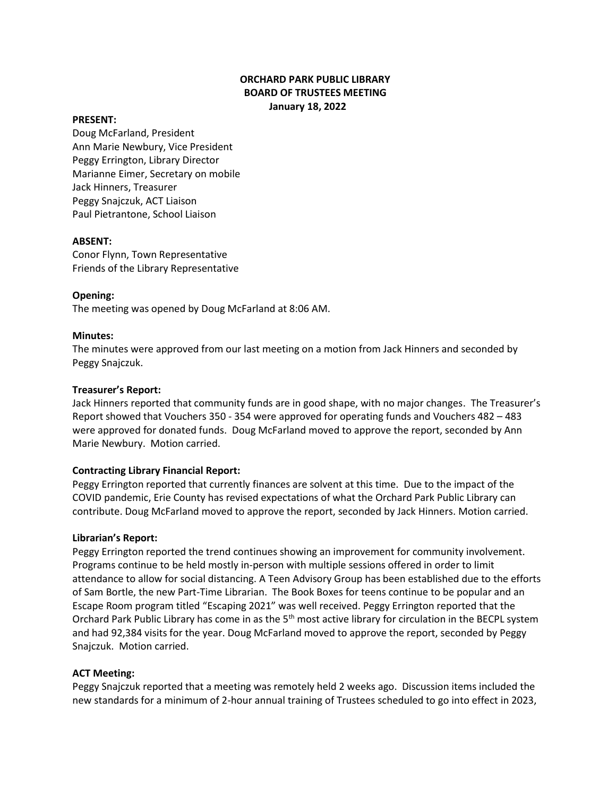# **ORCHARD PARK PUBLIC LIBRARY BOARD OF TRUSTEES MEETING January 18, 2022**

#### **PRESENT:**

Doug McFarland, President Ann Marie Newbury, Vice President Peggy Errington, Library Director Marianne Eimer, Secretary on mobile Jack Hinners, Treasurer Peggy Snajczuk, ACT Liaison Paul Pietrantone, School Liaison

#### **ABSENT:**

Conor Flynn, Town Representative Friends of the Library Representative

### **Opening:**

The meeting was opened by Doug McFarland at 8:06 AM.

#### **Minutes:**

The minutes were approved from our last meeting on a motion from Jack Hinners and seconded by Peggy Snajczuk.

### **Treasurer's Report:**

Jack Hinners reported that community funds are in good shape, with no major changes. The Treasurer's Report showed that Vouchers 350 - 354 were approved for operating funds and Vouchers 482 – 483 were approved for donated funds. Doug McFarland moved to approve the report, seconded by Ann Marie Newbury. Motion carried.

## **Contracting Library Financial Report:**

Peggy Errington reported that currently finances are solvent at this time. Due to the impact of the COVID pandemic, Erie County has revised expectations of what the Orchard Park Public Library can contribute. Doug McFarland moved to approve the report, seconded by Jack Hinners. Motion carried.

#### **Librarian's Report:**

Peggy Errington reported the trend continues showing an improvement for community involvement. Programs continue to be held mostly in-person with multiple sessions offered in order to limit attendance to allow for social distancing. A Teen Advisory Group has been established due to the efforts of Sam Bortle, the new Part-Time Librarian. The Book Boxes for teens continue to be popular and an Escape Room program titled "Escaping 2021" was well received. Peggy Errington reported that the Orchard Park Public Library has come in as the 5<sup>th</sup> most active library for circulation in the BECPL system and had 92,384 visits for the year. Doug McFarland moved to approve the report, seconded by Peggy Snajczuk. Motion carried.

#### **ACT Meeting:**

Peggy Snajczuk reported that a meeting was remotely held 2 weeks ago. Discussion items included the new standards for a minimum of 2-hour annual training of Trustees scheduled to go into effect in 2023,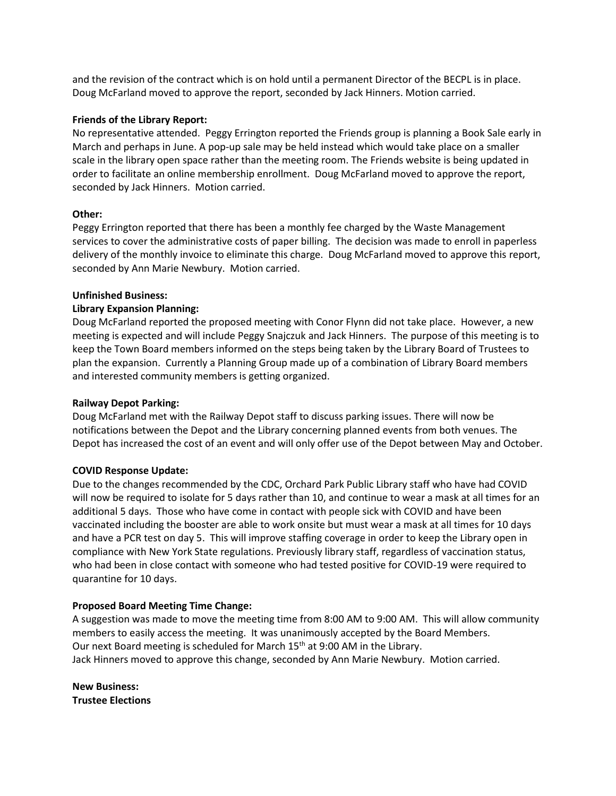and the revision of the contract which is on hold until a permanent Director of the BECPL is in place. Doug McFarland moved to approve the report, seconded by Jack Hinners. Motion carried.

### **Friends of the Library Report:**

No representative attended. Peggy Errington reported the Friends group is planning a Book Sale early in March and perhaps in June. A pop-up sale may be held instead which would take place on a smaller scale in the library open space rather than the meeting room. The Friends website is being updated in order to facilitate an online membership enrollment. Doug McFarland moved to approve the report, seconded by Jack Hinners. Motion carried.

### **Other:**

Peggy Errington reported that there has been a monthly fee charged by the Waste Management services to cover the administrative costs of paper billing. The decision was made to enroll in paperless delivery of the monthly invoice to eliminate this charge. Doug McFarland moved to approve this report, seconded by Ann Marie Newbury. Motion carried.

### **Unfinished Business:**

### **Library Expansion Planning:**

Doug McFarland reported the proposed meeting with Conor Flynn did not take place. However, a new meeting is expected and will include Peggy Snajczuk and Jack Hinners. The purpose of this meeting is to keep the Town Board members informed on the steps being taken by the Library Board of Trustees to plan the expansion. Currently a Planning Group made up of a combination of Library Board members and interested community members is getting organized.

### **Railway Depot Parking:**

Doug McFarland met with the Railway Depot staff to discuss parking issues. There will now be notifications between the Depot and the Library concerning planned events from both venues. The Depot has increased the cost of an event and will only offer use of the Depot between May and October.

## **COVID Response Update:**

Due to the changes recommended by the CDC, Orchard Park Public Library staff who have had COVID will now be required to isolate for 5 days rather than 10, and continue to wear a mask at all times for an additional 5 days. Those who have come in contact with people sick with COVID and have been vaccinated including the booster are able to work onsite but must wear a mask at all times for 10 days and have a PCR test on day 5. This will improve staffing coverage in order to keep the Library open in compliance with New York State regulations. Previously library staff, regardless of vaccination status, who had been in close contact with someone who had tested positive for COVID-19 were required to quarantine for 10 days.

## **Proposed Board Meeting Time Change:**

A suggestion was made to move the meeting time from 8:00 AM to 9:00 AM. This will allow community members to easily access the meeting. It was unanimously accepted by the Board Members. Our next Board meeting is scheduled for March 15<sup>th</sup> at 9:00 AM in the Library. Jack Hinners moved to approve this change, seconded by Ann Marie Newbury. Motion carried.

**New Business: Trustee Elections**